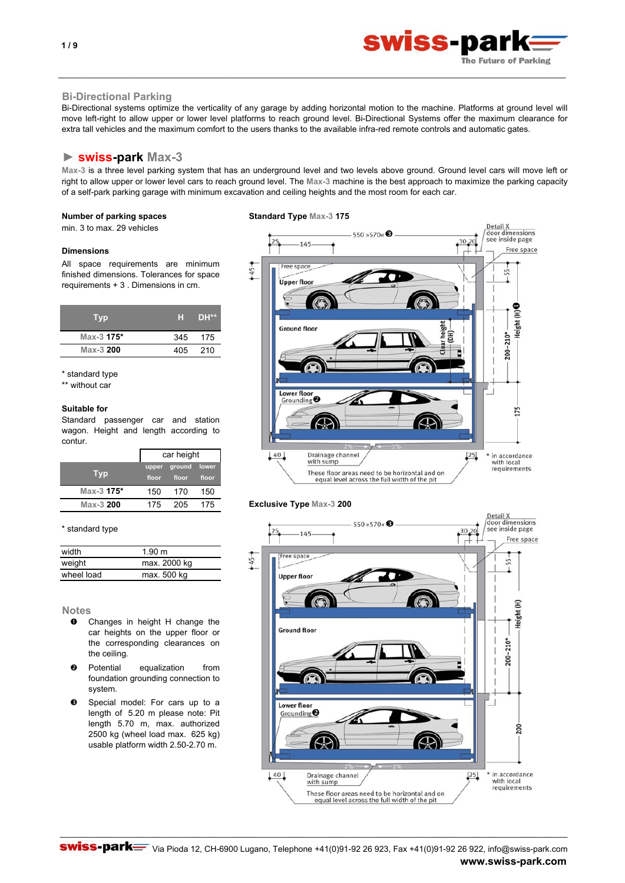# **Bi-Directional Parking**

Bi-Directional systems optimize the verticality of any garage by adding horizontal motion to the machine. Platforms at ground level will move left-right to allow upper or lower level platforms to reach ground level. Bi-Directional Systems offer the maximum clearance for extra tall vehicles and the maximum comfort to the users thanks to the available infra-red remote controls and automatic gates.

\_\_\_\_\_\_\_\_\_\_\_\_\_\_\_\_\_\_\_\_\_\_\_\_\_\_\_\_\_\_\_\_\_\_\_\_\_\_\_\_\_\_\_\_\_\_\_\_\_\_\_\_\_\_\_\_\_\_\_\_\_\_\_\_\_\_\_\_\_\_\_\_\_\_\_\_\_\_\_\_\_\_\_\_\_\_\_\_\_\_\_\_\_\_\_\_\_\_\_\_\_\_\_\_\_\_\_\_\_

# **► swiss-park Max-3**

**Max-3** is a three level parking system that has an underground level and two levels above ground. Ground level cars will move left or right to allow upper or lower level cars to reach ground level. The **Max-3** machine is the best approach to maximize the parking capacity of a self-park parking garage with minimum excavation and ceiling heights and the most room for each car.

min. 3 to max. 29 vehicles

### **Dimensions**

All space requirements are minimum finished dimensions. Tolerances for space requirements + 3 . Dimensions in cm.

| <b>Typ</b> | H.  | DH**  |
|------------|-----|-------|
| Max-3 175* | 345 | 175   |
| Max-3 200  | 405 | - 210 |
|            |     |       |

\* standard type

\*\* without car

# **Suitable for**

Standard passenger car and station wagon. Height and length according to contur.

|            |       | car height   |       |  |
|------------|-------|--------------|-------|--|
|            |       | upper ground | lower |  |
| <b>Typ</b> | floor | floor        | floor |  |
| Max-3 175* | 150   | 170          | 150   |  |
| Max-3 200  | 175   | 205          | 175   |  |



| width      | 1.90 m       |
|------------|--------------|
| weight     | max. 2000 kg |
| wheel load | max. 500 kg  |
|            |              |

#### **Notes**

- n Changes in height H change the car heights on the upper floor or the corresponding clearances on the ceiling.
- o Potential equalization from foundation grounding connection to system.
- **9** Special model: For cars up to a length of 5.20 m please note: Pit length 5.70 m, max. authorized 2500 kg (wheel load max. 625 kg) usable platform width 2.50-2.70 m.





swiss-par

The Future of Parking

## **Exclusive Type Max-3 200**

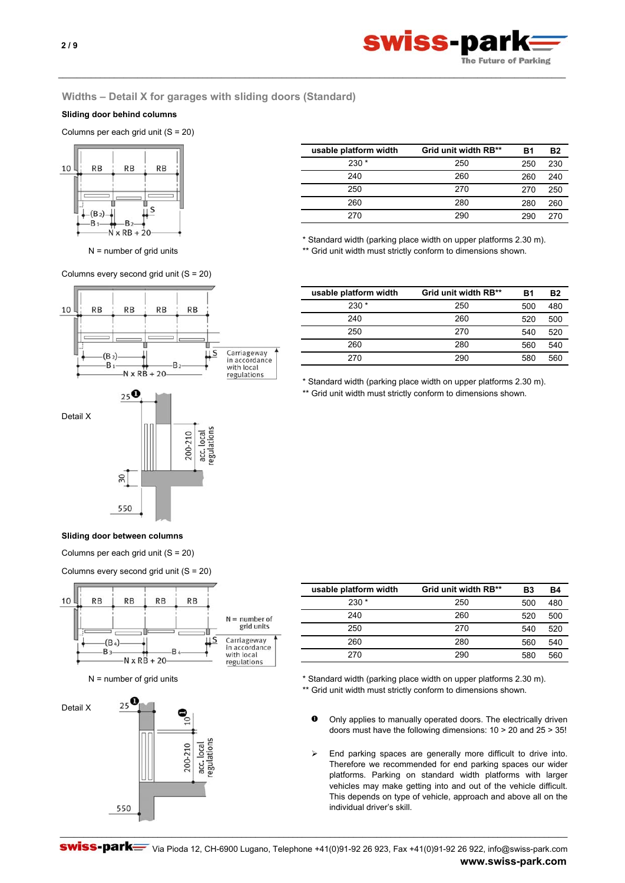

# **Widths – Detail X for garages with sliding doors (Standard)**

\_\_\_\_\_\_\_\_\_\_\_\_\_\_\_\_\_\_\_\_\_\_\_\_\_\_\_\_\_\_\_\_\_\_\_\_\_\_\_\_\_\_\_\_\_\_\_\_\_\_\_\_\_\_\_\_\_\_\_\_\_\_\_\_\_\_\_\_\_\_\_\_\_\_\_\_\_\_\_\_\_\_\_\_\_\_\_\_\_\_\_\_\_\_\_\_\_\_\_\_\_\_\_\_\_\_\_\_\_

# **Sliding door behind columns**

Columns per each grid unit (S = 20)



Columns every second grid unit  $(S = 20)$ 



| usable platform width | Grid unit width RB** | R1  | Β2  |
|-----------------------|----------------------|-----|-----|
| $230*$                | 250                  | 250 | 230 |
| 240                   | 260                  | 260 | 240 |
| 250                   | 270                  | 270 | 250 |
| 260                   | 280                  | 280 | 260 |
| 270                   | 290                  | 290 | 270 |

\* Standard width (parking place width on upper platforms 2.30 m).

N = number of grid units \*\* Grid unit width must strictly conform to dimensions shown.

| usable platform width | Grid unit width RB** | R1  | Β2  |
|-----------------------|----------------------|-----|-----|
| $230 *$               | 250                  | 500 | 480 |
| 240                   | 260                  | 520 | 500 |
| 250                   | 270                  | 540 | 520 |
| 260                   | 280                  | 560 | 540 |
| 270                   | 290                  | 580 | 560 |
|                       |                      |     |     |

\* Standard width (parking place width on upper platforms 2.30 m).

\*\* Grid unit width must strictly conform to dimensions shown.

# **Sliding door between columns**

550

 $\overline{50}$ 

Columns per each grid unit (S = 20)

Columns every second grid unit (S = 20)



| usable platform width | Grid unit width RB** | Β3  | <b>B4</b> |
|-----------------------|----------------------|-----|-----------|
| $230*$                | 250                  | 500 | 480       |
| 240                   | 260                  | 520 | 500       |
| 250                   | 270                  | 540 | 520       |
| 260                   | 280                  | 560 | 540       |
| 270                   | 290                  | 580 | 560       |
|                       |                      |     |           |

N = number of grid units \*  $\ast$  Standard width (parking place width on upper platforms 2.30 m).

\*\* Grid unit width must strictly conform to dimensions shown.

- $\bullet$ Only applies to manually operated doors. The electrically driven doors must have the following dimensions: 10 > 20 and 25 > 35!
- $\triangleright$  End parking spaces are generally more difficult to drive into. Therefore we recommended for end parking spaces our wider platforms. Parking on standard width platforms with larger vehicles may make getting into and out of the vehicle difficult. This depends on type of vehicle, approach and above all on the individual driver's skill.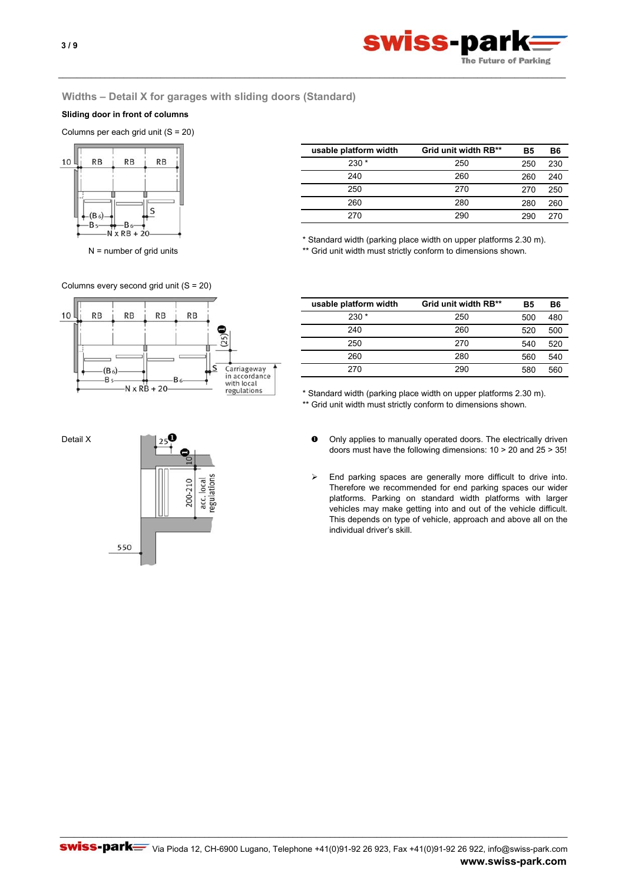

# **Widths – Detail X for garages with sliding doors (Standard)**

\_\_\_\_\_\_\_\_\_\_\_\_\_\_\_\_\_\_\_\_\_\_\_\_\_\_\_\_\_\_\_\_\_\_\_\_\_\_\_\_\_\_\_\_\_\_\_\_\_\_\_\_\_\_\_\_\_\_\_\_\_\_\_\_\_\_\_\_\_\_\_\_\_\_\_\_\_\_\_\_\_\_\_\_\_\_\_\_\_\_\_\_\_\_\_\_\_\_\_\_\_\_\_\_\_\_\_\_\_

# **Sliding door in front of columns**

Columns per each grid unit (S = 20)



**B5 B6** 250 230 260 240 270 250 280 260 290 270 **usable platform width Grid unit width RB\*\*** 230 \* 250 250 270 260 240 260 280 270 290

\* Standard width (parking place width on upper platforms 2.30 m).

N = number of grid units \*\* Grid unit width must strictly conform to dimensions shown.



| usable platform width | Grid unit width RB** | Β5  | Β6  |
|-----------------------|----------------------|-----|-----|
| $230*$                | 250                  | 500 | 480 |
| 240                   | 260                  | 520 | 500 |
| 250                   | 270                  | 540 | 520 |
| 260                   | 280                  | 560 | 540 |
| 270                   | 290                  | 580 | 560 |
|                       |                      |     |     |

\* Standard width (parking place width on upper platforms 2.30 m).

\*\* Grid unit width must strictly conform to dimensions shown.

- Only applies to manually operated doors. The electrically driven doors must have the following dimensions: 10 > 20 and 25 > 35!
- $\blacktriangleright$ End parking spaces are generally more difficult to drive into. Therefore we recommended for end parking spaces our wider platforms. Parking on standard width platforms with larger vehicles may make getting into and out of the vehicle difficult. This depends on type of vehicle, approach and above all on the individual driver's skill.

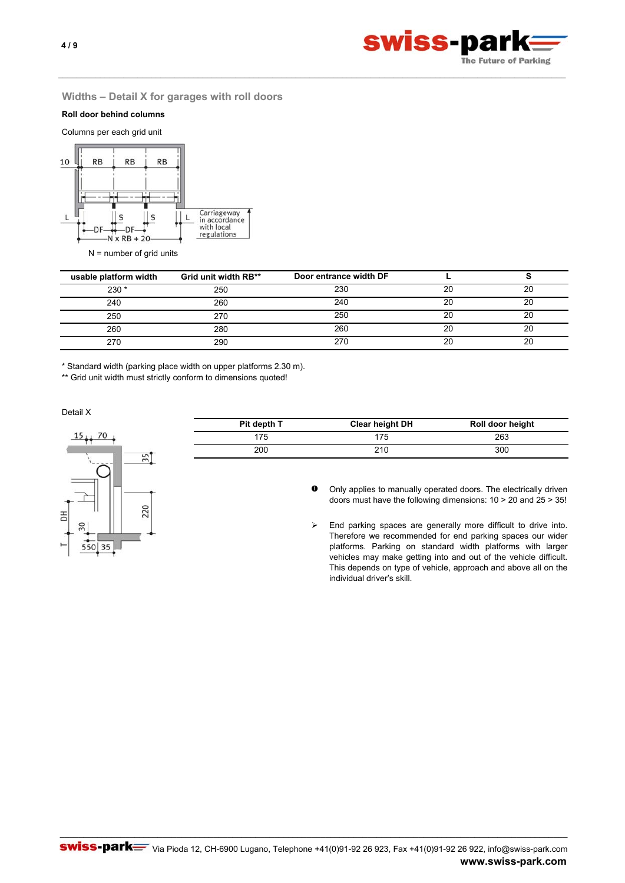

# **Widths – Detail X for garages with roll doors**

# **Roll door behind columns**

Columns per each grid unit



 $N =$  number of grid units

| usable platform width | Grid unit width RB** | Door entrance width DF |    |    |
|-----------------------|----------------------|------------------------|----|----|
| $230*$                | 250                  | 230                    | 20 | 20 |
| 240                   | 260                  | 240                    | 20 | 20 |
| 250                   | 270                  | 250                    | 20 | 20 |
| 260                   | 280                  | 260                    | 20 | 20 |
| 270                   | 290                  |                        |    | 20 |

\_\_\_\_\_\_\_\_\_\_\_\_\_\_\_\_\_\_\_\_\_\_\_\_\_\_\_\_\_\_\_\_\_\_\_\_\_\_\_\_\_\_\_\_\_\_\_\_\_\_\_\_\_\_\_\_\_\_\_\_\_\_\_\_\_\_\_\_\_\_\_\_\_\_\_\_\_\_\_\_\_\_\_\_\_\_\_\_\_\_\_\_\_\_\_\_\_\_\_\_\_\_\_\_\_\_\_\_\_

\* Standard width (parking place width on upper platforms 2.30 m).

\*\* Grid unit width must strictly conform to dimensions quoted!

Detail X



| Pit depth T | Clear height DH | Roll door height |
|-------------|-----------------|------------------|
| 175         | 175             | 263              |
| 200         | 210             | 300              |

 $\bullet$ Only applies to manually operated doors. The electrically driven doors must have the following dimensions: 10 > 20 and 25 > 35!

 $\blacktriangleright$ End parking spaces are generally more difficult to drive into. Therefore we recommended for end parking spaces our wider platforms. Parking on standard width platforms with larger vehicles may make getting into and out of the vehicle difficult. This depends on type of vehicle, approach and above all on the individual driver's skill.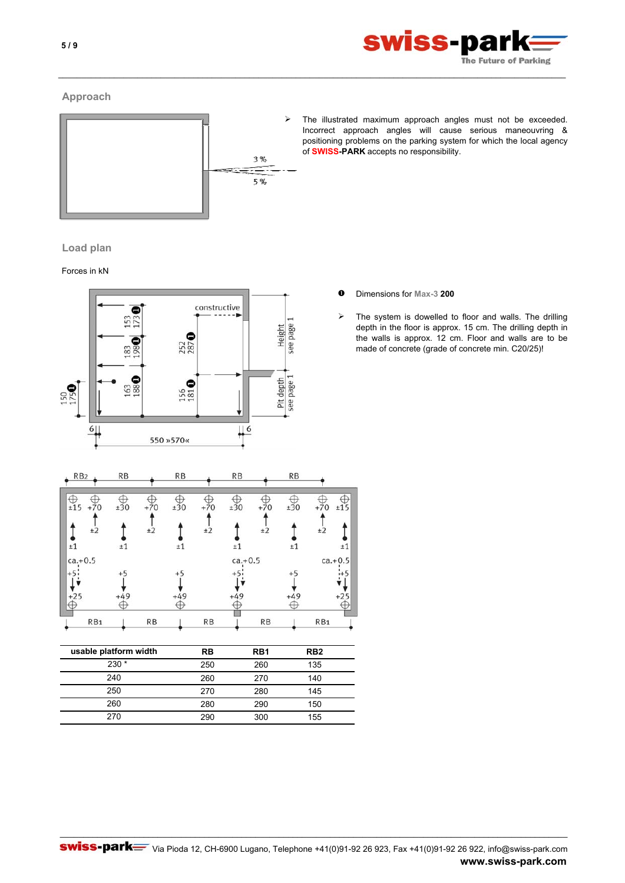

# **Approach**



The illustrated maximum approach angles must not be exceeded. Incorrect approach angles will cause serious maneouvring & positioning problems on the parking system for which the local agency of **SWISS-PARK** accepts no responsibility.

\_\_\_\_\_\_\_\_\_\_\_\_\_\_\_\_\_\_\_\_\_\_\_\_\_\_\_\_\_\_\_\_\_\_\_\_\_\_\_\_\_\_\_\_\_\_\_\_\_\_\_\_\_\_\_\_\_\_\_\_\_\_\_\_\_\_\_\_\_\_\_\_\_\_\_\_\_\_\_\_\_\_\_\_\_\_\_\_\_\_\_\_\_\_\_\_\_\_\_\_\_\_\_\_\_\_\_\_\_

# **Load plan**

# Forces in kN



| $\triangleright$ |  | The system is dowelled to |  |
|------------------|--|---------------------------|--|

tem is dowelled to floor and walls. The drilling depth in the floor is approx. 15 cm. The drilling depth in the walls is approx. 12 cm. Floor and walls are to be made of concrete (grade of concrete min. C20/25)!

Î

 $+5$ 

đ

\_\_\_\_\_\_\_\_\_\_\_\_\_\_\_\_\_\_\_\_\_\_\_\_\_\_\_\_\_\_\_\_\_\_\_\_\_\_\_\_\_\_\_\_\_\_\_\_\_\_\_\_\_\_\_\_\_\_\_\_\_\_\_\_\_\_\_\_\_\_\_\_\_\_\_\_\_\_\_\_\_\_\_\_\_\_\_\_\_\_\_\_\_\_\_\_\_\_\_\_\_\_\_\_\_\_\_\_\_

260 270 140 270 280 145 280 290 150

270 290 300 155

260

240 250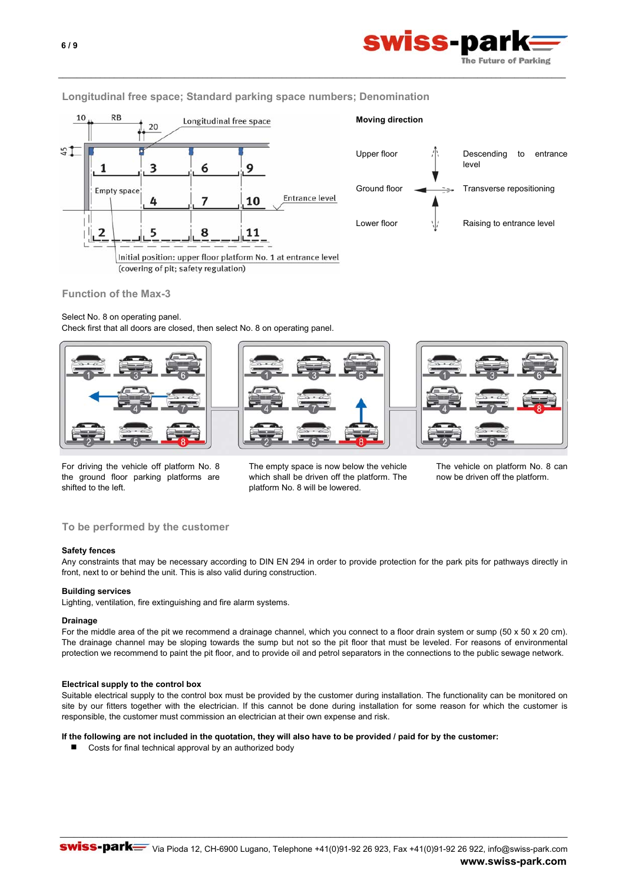

# **Longitudinal free space; Standard parking space numbers; Denomination**

\_\_\_\_\_\_\_\_\_\_\_\_\_\_\_\_\_\_\_\_\_\_\_\_\_\_\_\_\_\_\_\_\_\_\_\_\_\_\_\_\_\_\_\_\_\_\_\_\_\_\_\_\_\_\_\_\_\_\_\_\_\_\_\_\_\_\_\_\_\_\_\_\_\_\_\_\_\_\_\_\_\_\_\_\_\_\_\_\_\_\_\_\_\_\_\_\_\_\_\_\_\_\_\_\_\_\_\_\_





## **Function of the Max-3**

# Select No. 8 on operating panel.

Check first that all doors are closed, then select No. 8 on operating panel.



For driving the vehicle off platform No. 8 the ground floor parking platforms are shifted to the left.

The empty space is now below the vehicle which shall be driven off the platform. The platform No. 8 will be lowered.

The vehicle on platform No. 8 can now be driven off the platform.

# **To be performed by the customer**

#### **Safety fences**

Any constraints that may be necessary according to DIN EN 294 in order to provide protection for the park pits for pathways directly in front, next to or behind the unit. This is also valid during construction.

### **Building services**

Lighting, ventilation, fire extinguishing and fire alarm systems.

#### **Drainage**

For the middle area of the pit we recommend a drainage channel, which you connect to a floor drain system or sump (50 x 50 x 20 cm). The drainage channel may be sloping towards the sump but not so the pit floor that must be leveled. For reasons of environmental protection we recommend to paint the pit floor, and to provide oil and petrol separators in the connections to the public sewage network.

#### **Electrical supply to the control box**

Suitable electrical supply to the control box must be provided by the customer during installation. The functionality can be monitored on site by our fitters together with the electrician. If this cannot be done during installation for some reason for which the customer is responsible, the customer must commission an electrician at their own expense and risk.

**If the following are not included in the quotation, they will also have to be provided / paid for by the customer:**

■ Costs for final technical approval by an authorized body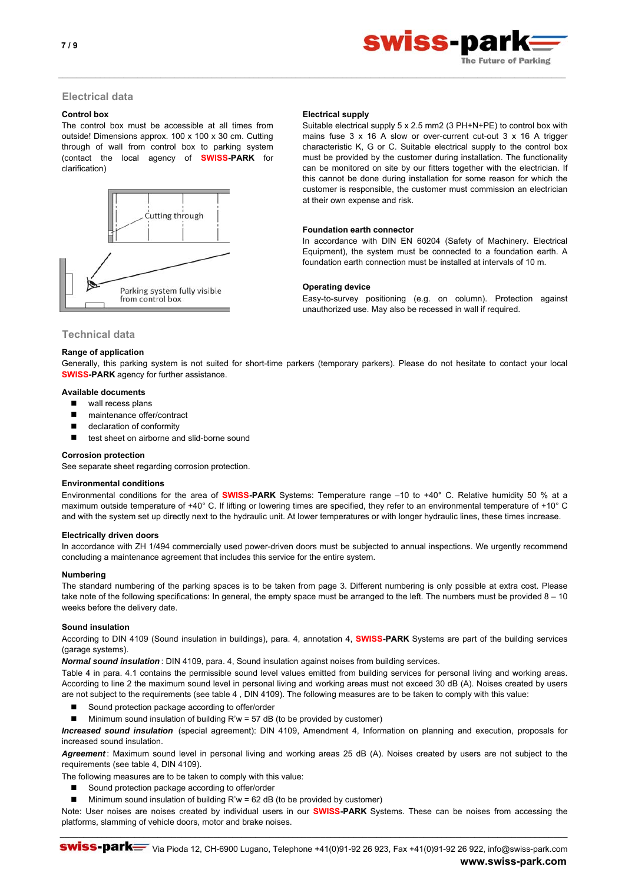

# **Electrical data**

The control box must be accessible at all times from outside! Dimensions approx. 100 x 100 x 30 cm. Cutting through of wall from control box to parking system (contact the local agency of **SWISS-PARK** for clarification)



#### **Control box** Electrical supply

\_\_\_\_\_\_\_\_\_\_\_\_\_\_\_\_\_\_\_\_\_\_\_\_\_\_\_\_\_\_\_\_\_\_\_\_\_\_\_\_\_\_\_\_\_\_\_\_\_\_\_\_\_\_\_\_\_\_\_\_\_\_\_\_\_\_\_\_\_\_\_\_\_\_\_\_\_\_\_\_\_\_\_\_\_\_\_\_\_\_\_\_\_\_\_\_\_\_\_\_\_\_\_\_\_\_\_\_\_

Suitable electrical supply 5 x 2.5 mm2 (3 PH+N+PE) to control box with mains fuse 3 x 16 A slow or over-current cut-out 3 x 16 A trigger characteristic K, G or C. Suitable electrical supply to the control box must be provided by the customer during installation. The functionality can be monitored on site by our fitters together with the electrician. If this cannot be done during installation for some reason for which the customer is responsible, the customer must commission an electrician at their own expense and risk.

#### **Foundation earth connector**

In accordance with DIN EN 60204 (Safety of Machinery. Electrical Equipment), the system must be connected to a foundation earth. A foundation earth connection must be installed at intervals of 10 m.

#### **Operating device**

Easy-to-survey positioning (e.g. on column). Protection against unauthorized use. May also be recessed in wall if required.

# **Technical data**

#### **Range of application**

Generally, this parking system is not suited for short-time parkers (temporary parkers). Please do not hesitate to contact your local **SWISS-PARK** agency for further assistance.

#### **Available documents**

- wall recess plans
- maintenance offer/contract
- declaration of conformity
- test sheet on airborne and slid-borne sound

#### **Corrosion protection**

See separate sheet regarding corrosion protection.

#### **Environmental conditions**

Environmental conditions for the area of **SWISS-PARK** Systems: Temperature range –10 to +40° C. Relative humidity 50 % at a maximum outside temperature of +40° C. If lifting or lowering times are specified, they refer to an environmental temperature of +10° C and with the system set up directly next to the hydraulic unit. At lower temperatures or with longer hydraulic lines, these times increase.

#### **Electrically driven doors**

In accordance with ZH 1/494 commercially used power-driven doors must be subjected to annual inspections. We urgently recommend concluding a maintenance agreement that includes this service for the entire system.

#### **Numbering**

The standard numbering of the parking spaces is to be taken from page 3. Different numbering is only possible at extra cost. Please take note of the following specifications: In general, the empty space must be arranged to the left. The numbers must be provided 8 – 10 weeks before the delivery date.

### **Sound insulation**

According to DIN 4109 (Sound insulation in buildings), para. 4, annotation 4, **SWISS-PARK** Systems are part of the building services (garage systems).

*Normal sound insulation* : DIN 4109, para. 4, Sound insulation against noises from building services.

Table 4 in para. 4.1 contains the permissible sound level values emitted from building services for personal living and working areas. According to line 2 the maximum sound level in personal living and working areas must not exceed 30 dB (A). Noises created by users are not subject to the requirements (see table 4 , DIN 4109). The following measures are to be taken to comply with this value:

- Sound protection package according to offer/order
- Minimum sound insulation of building R'w = 57 dB (to be provided by customer)

*Increased sound insulation* (special agreement): DIN 4109, Amendment 4, Information on planning and execution, proposals for increased sound insulation.

*Agreement* : Maximum sound level in personal living and working areas 25 dB (A). Noises created by users are not subject to the requirements (see table 4, DIN 4109).

The following measures are to be taken to comply with this value:

- Sound protection package according to offer/order
- $\blacksquare$  Minimum sound insulation of building R'w = 62 dB (to be provided by customer)

Note: User noises are noises created by individual users in our **SWISS-PARK** Systems. These can be noises from accessing the platforms, slamming of vehicle doors, motor and brake noises. \_\_\_\_\_\_\_\_\_\_\_\_\_\_\_\_\_\_\_\_\_\_\_\_\_\_\_\_\_\_\_\_\_\_\_\_\_\_\_\_\_\_\_\_\_\_\_\_\_\_\_\_\_\_\_\_\_\_\_\_\_\_\_\_\_\_\_\_\_\_\_\_\_\_\_\_\_\_\_\_\_\_\_\_\_\_\_\_\_\_\_\_\_\_\_\_\_\_\_\_\_\_\_\_\_\_\_\_\_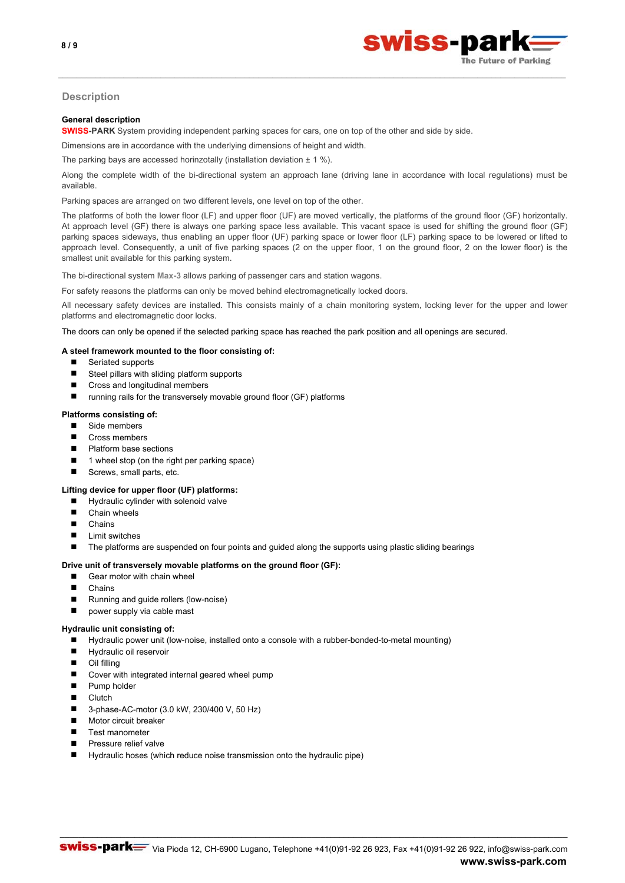

# **Description**

### **General description**

**SWISS-PARK** System providing independent parking spaces for cars, one on top of the other and side by side.

Dimensions are in accordance with the underlying dimensions of height and width.

The parking bays are accessed horinzotally (installation deviation  $\pm 1 \%$ ).

Along the complete width of the bi-directional system an approach lane (driving lane in accordance with local regulations) must be available.

\_\_\_\_\_\_\_\_\_\_\_\_\_\_\_\_\_\_\_\_\_\_\_\_\_\_\_\_\_\_\_\_\_\_\_\_\_\_\_\_\_\_\_\_\_\_\_\_\_\_\_\_\_\_\_\_\_\_\_\_\_\_\_\_\_\_\_\_\_\_\_\_\_\_\_\_\_\_\_\_\_\_\_\_\_\_\_\_\_\_\_\_\_\_\_\_\_\_\_\_\_\_\_\_\_\_\_\_\_

Parking spaces are arranged on two different levels, one level on top of the other.

The platforms of both the lower floor (LF) and upper floor (UF) are moved vertically, the platforms of the ground floor (GF) horizontally. At approach level (GF) there is always one parking space less available. This vacant space is used for shifting the ground floor (GF) parking spaces sideways, thus enabling an upper floor (UF) parking space or lower floor (LF) parking space to be lowered or lifted to approach level. Consequently, a unit of five parking spaces (2 on the upper floor, 1 on the ground floor, 2 on the lower floor) is the smallest unit available for this parking system.

The bi-directional system **Max-3** allows parking of passenger cars and station wagons.

For safety reasons the platforms can only be moved behind electromagnetically locked doors.

All necessary safety devices are installed. This consists mainly of a chain monitoring system, locking lever for the upper and lower platforms and electromagnetic door locks.

The doors can only be opened if the selected parking space has reached the park position and all openings are secured.

# **A steel framework mounted to the floor consisting of:**

- Seriated supports
- Steel pillars with sliding platform supports
- Cross and longitudinal members
- $\blacksquare$  running rails for the transversely movable ground floor (GF) platforms

#### **Platforms consisting of:**

- Side members
- Cross members
- Platform base sections
- 1 wheel stop (on the right per parking space)
- Screws, small parts, etc.

## **Lifting device for upper floor (UF) platforms:**

- Hydraulic cylinder with solenoid valve
- Chain wheels
- **Chains**
- $\blacksquare$  Limit switches
- The platforms are suspended on four points and guided along the supports using plastic sliding bearings

### **Drive unit of transversely movable platforms on the ground floor (GF):**

- Gear motor with chain wheel
- **n** Chains
- Running and guide rollers (low-noise)
- power supply via cable mast

#### **Hydraulic unit consisting of:**

- Hydraulic power unit (low-noise, installed onto a console with a rubber-bonded-to-metal mounting)
- **Hydraulic oil reservoir**
- Oil filling
- Cover with integrated internal geared wheel pump
- **Pump holder**
- $C$ lutch
- 3-phase-AC-motor (3.0 kW, 230/400 V, 50 Hz)
- **Motor circuit breaker**
- Test manometer
- **Pressure relief valve**
- Hydraulic hoses (which reduce noise transmission onto the hydraulic pipe)